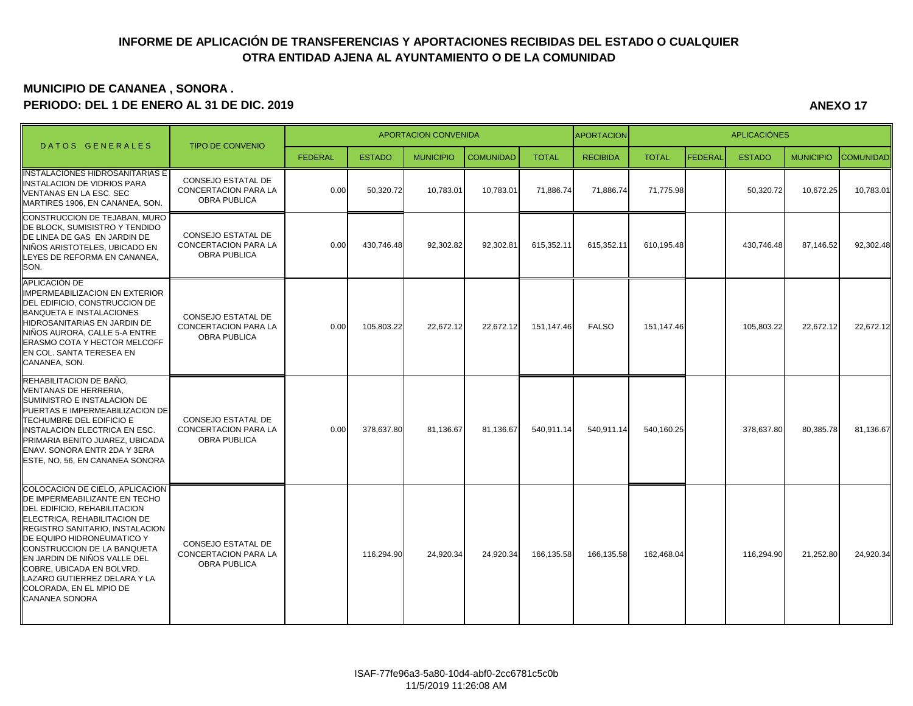## **INFORME DE APLICACIÓN DE TRANSFERENCIAS Y APORTACIONES RECIBIDAS DEL ESTADO O CUALQUIER OTRA ENTIDAD AJENA AL AYUNTAMIENTO O DE LA COMUNIDAD**

## **MUNICIPIO DE CANANEA , SONORA . PERIODO: DEL 1 DE ENERO AL 31 DE DIC. 2019 ANEXO 17**

**APORTACION** FEDERAL | ESTADO | MUNICIPIO |COMUNIDAD| TOTAL | RECIBIDA | TOTAL |FEDERAL| ESTADO | MUNICIPIO |COMUNIDAD INSTALACIONES HIDROSANITARIAS E **INSTALACION DE VIDRIOS PARA** VENTANAS EN LA ESC. SEC MARTIRES 1906, EN CANANEA, SON. CONSEJO ESTATAL DE CONCERTACION PARA LA OBRA PUBLICA 0.00 50,320.72 10,783.01 10,783.01 71,886.74 71,886.74 71,775.98 | 50,320.72 10,672.25 10,783.01 CONSTRUCCION DE TEJABAN, MURO DE BLOCK, SUMISISTRO Y TENDIDO DE LINEA DE GAS EN JARDIN DE NIÑOS ARISTOTELES, UBICADO EN LEYES DE REFORMA EN CANANEA, SON. CONSEJO ESTATAL DE CONCERTACION PARA LA OBRA PUBLICA 0.00 430,746.48 92,302.82 92,302.81 615,352.11 615,352.11 610,195.48 430,746.48 87,146.52 92,302.48 APLICACIÓN DE IMPERMEABILIZACION EN EXTERIOR DEL EDIFICIO, CONSTRUCCION DE BANQUETA E INSTALACIONES HIDROSANITARIAS EN JARDIN DE NIÑOS AURORA, CALLE 5-A ENTRE ERASMO COTA Y HECTOR MELCOFF EN COL. SANTA TERESEA EN CANANEA, SON. CONSEJO ESTATAL DE CONCERTACION PARA LA OBRA PUBLICA 0.00 105,803.22 22,672.12 22,672.12 151,147.46 FALSO 151,147.46 105,803.22 22,672.12 22,672.12 REHABILITACION DE BAÑO, VENTANAS DE HERRERIA, SUMINISTRO E INSTALACION DE PUERTAS E IMPERMEABILIZACION DE TECHUMBRE DEL EDIFICIO E INSTALACION ELECTRICA EN ESC. PRIMARIA BENITO JUAREZ, UBICADA ENAV. SONORA ENTR 2DA Y 3ERA ESTE, NO. 56, EN CANANEA SONORA CONSEJO ESTATAL DE CONCERTACION PARA LA OBRA PUBLICA 0.00 378,637.80 81,136.67 81,136.67 540,911.14 540,911.14 540,160.25 378,637.80 80,385.78 81,136.67 COLOCACION DE CIELO, APLICACION DE IMPERMEABILIZANTE EN TECHO DEL EDIFICIO, REHABILITACION ELECTRICA, REHABILITACION DE REGISTRO SANITARIO, INSTALACION DE EQUIPO HIDRONEUMATICO Y CONSTRUCCION DE LA BANQUETA EN JARDIN DE NIÑOS VALLE DEL COBRE, UBICADA EN BOLVRD. LAZARO GUTIERREZ DELARA Y LA COLORADA, EN EL MPIO DE CANANEA SONORA CONSEJO ESTATAL DE CONCERTACION PARA LA OBRA PUBLICA 116,294.90 24,920.34 24,920.34 166,135.58 166,135.58 162,468.04 116,294.90 21,252.80 24,920.34 D A T O S G E N E R A L E S TIPO DE CONVENIO APORTACION CONVENIDA AND APORTACION **APORTACION**